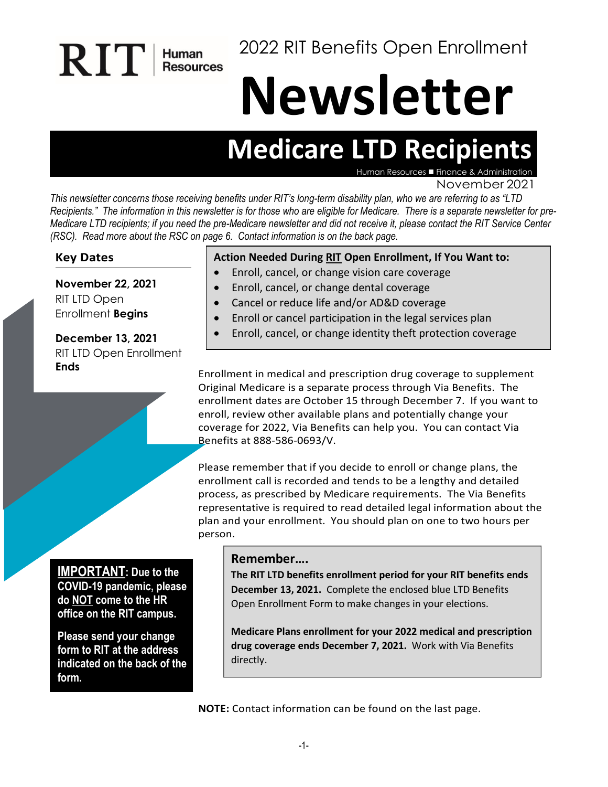2022 RIT Benefits Open Enrollment

# **Newsletter**

# **Medicare LTD Recipients**

Human Resources  $\blacksquare$  Finance &

November 2021

*This newsletter concerns those receiving benefits under RIT's long-term disability plan, who we are referring to as "LTD Recipients." The information in this newsletter is for those who are eligible for Medicare. There is a separate newsletter for pre-Medicare LTD recipients; if you need the pre-Medicare newsletter and did not receive it, please contact the RIT Service Center (RSC). Read more about the RSC on page 6. Contact information is on the back page.* 

#### **Key Dates**

**November 22, 2021** RIT LTD Open Enrollment **Begins**

RIT

Human<br>Resources

**December 13, 2021** RIT LTD Open Enrollment **Ends**

#### **Action Needed During RIT Open Enrollment, If You Want to:**

- Enroll, cancel, or change vision care coverage
- Enroll, cancel, or change dental coverage
- Cancel or reduce life and/or AD&D coverage
- Enroll or cancel participation in the legal services plan
- Enroll, cancel, or change identity theft protection coverage

Enrollment in medical and prescription drug coverage to supplement Original Medicare is a separate process through Via Benefits. The enrollment dates are October 15 through December 7. If you want to enroll, review other available plans and potentially change your coverage for 2022, Via Benefits can help you. You can contact Via Benefits at 888-586-0693/V.

Please remember that if you decide to enroll or change plans, the enrollment call is recorded and tends to be a lengthy and detailed process, as prescribed by Medicare requirements. The Via Benefits representative is required to read detailed legal information about the plan and your enrollment. You should plan on one to two hours per person.

#### **IMPORTANT: Due to the**

**COVID-19 pandemic, please do NOT come to the HR office on the RIT campus.**

**Please send your change form to RIT at the address indicated on the back of the form.**

#### **Remember….**

**The RIT LTD benefits enrollment period for your RIT benefits ends December 13, 2021.** Complete the enclosed blue LTD Benefits Open Enrollment Form to make changes in your elections.

**Medicare Plans enrollment for your 2022 medical and prescription drug coverage ends December 7, 2021.** Work with Via Benefits directly.

**NOTE:** Contact information can be found on the last page.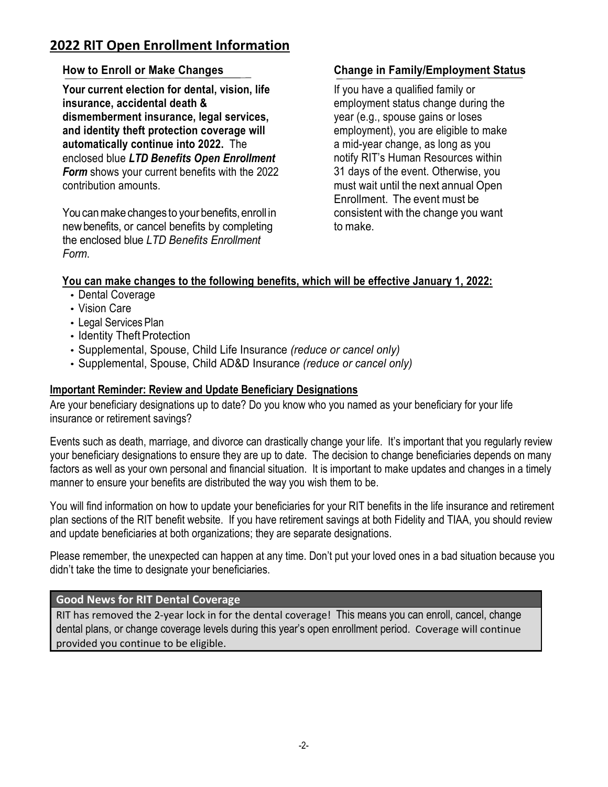# **2022 RIT Open Enrollment Information**

#### **How to Enroll or Make Changes**

**Your current election for dental, vision, life insurance, accidental death & dismemberment insurance, legal services, and identity theft protection coverage will automatically continue into 2022.** The enclosed blue *LTD Benefits Open Enrollment Form* shows your current benefits with the 2022 contribution amounts.

You can make changes to your benefits, enroll in newbenefits, or cancel benefits by completing the enclosed blue *LTD Benefits Enrollment Form*.

#### **Change in Family/Employment Status**

If you have a qualified family or employment status change during the year (e.g., spouse gains or loses employment), you are eligible to make a mid-year change, as long as you notify RIT's Human Resources within 31 days of the event. Otherwise, you must wait until the next annual Open Enrollment. The event must be consistent with the change you want to make.

#### **You can make changes to the following benefits, which will be effective January 1, 2022:**

- Dental Coverage
- Vision Care
- Legal Services Plan
- Identity Theft Protection
- Supplemental, Spouse, Child Life Insurance *(reduce or cancel only)*
- Supplemental, Spouse, Child AD&D Insurance *(reduce or cancel only)*

#### **Important Reminder: Review and Update Beneficiary Designations**

Are your beneficiary designations up to date? Do you know who you named as your beneficiary for your life insurance or retirement savings?

Events such as death, marriage, and divorce can drastically change your life. It's important that you regularly review your beneficiary designations to ensure they are up to date. The decision to change beneficiaries depends on many factors as well as your own personal and financial situation. It is important to make updates and changes in a timely manner to ensure your benefits are distributed the way you wish them to be.

You will find information on how to update your beneficiaries for your RIT benefits in the life insurance and retirement plan sections of the RIT benefit website. If you have retirement savings at both Fidelity and TIAA, you should review and update beneficiaries at both organizations; they are separate designations.

Please remember, the unexpected can happen at any time. Don't put your loved ones in a bad situation because you didn't take the time to designate your beneficiaries.

#### **Good News for RIT Dental Coverage**

RIT has removed the 2-year lock in for the dental coverage! This means you can enroll, cancel, change dental plans, or change coverage levels during this year's open enrollment period. Coverage will continue provided you continue to be eligible.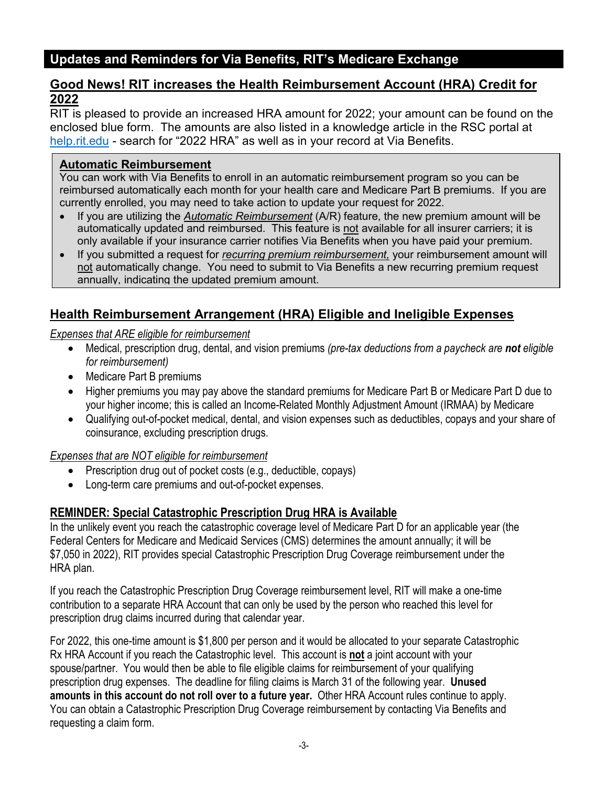# **Updates and Reminders for Via Benefits, RIT's Medicare Exchange**

#### **Good News! RIT increases the Health Reimbursement Account (HRA) Credit for 2022**

RIT is pleased to provide an increased HRA amount for 2022; your amount can be found on the enclosed blue form. The amounts are also listed in a knowledge article in the RSC portal at [help.rit.edu](https://help.rit.edu/sp) - search for "2022 HRA" as well as in your record at Via Benefits.

#### **Automatic Reimbursement**

You can work with Via Benefits to enroll in an automatic reimbursement program so you can be reimbursed automatically each month for your health care and Medicare Part B premiums. If you are currently enrolled, you may need to take action to update your request for 2022.

- If you are utilizing the *Automatic Reimbursement* (A/R) feature, the new premium amount will be automatically updated and reimbursed. This feature is not available for all insurer carriers; it is only available if your insurance carrier notifies Via Benefits when you have paid your premium.
- If you submitted a request for *recurring premium reimbursement,* your reimbursement amount will not automatically change. You need to submit to Via Benefits a new recurring premium request annually, indicating the updated premium amount.

# **Health Reimbursement Arrangement (HRA) Eligible and Ineligible Expenses**

#### *Expenses that ARE eligible for reimbursement*

- Medical, prescription drug, dental, and vision premiums *(pre-tax deductions from a paycheck are not eligible for reimbursement)*
- Medicare Part B premiums
- Higher premiums you may pay above the standard premiums for Medicare Part B or Medicare Part D due to your higher income; this is called an Income-Related Monthly Adjustment Amount (IRMAA) by Medicare
- Qualifying out-of-pocket medical, dental, and vision expenses such as deductibles, copays and your share of coinsurance, excluding prescription drugs.

#### *Expenses that are NOT eligible for reimbursement*

- Prescription drug out of pocket costs (e.g., deductible, copays)
- Long-term care premiums and out-of-pocket expenses.

## **REMINDER: Special Catastrophic Prescription Drug HRA is Available**

In the unlikely event you reach the catastrophic coverage level of Medicare Part D for an applicable year (the Federal Centers for Medicare and Medicaid Services (CMS) determines the amount annually; it will be \$7,050 in 2022), RIT provides special Catastrophic Prescription Drug Coverage reimbursement under the HRA plan.

If you reach the Catastrophic Prescription Drug Coverage reimbursement level, RIT will make a one-time contribution to a separate HRA Account that can only be used by the person who reached this level for prescription drug claims incurred during that calendar year.

For 2022, this one-time amount is \$1,800 per person and it would be allocated to your separate Catastrophic Rx HRA Account if you reach the Catastrophic level. This account is **not** a joint account with your spouse/partner. You would then be able to file eligible claims for reimbursement of your qualifying prescription drug expenses. The deadline for filing claims is March 31 of the following year. **Unused amounts in this account do not roll over to a future year.** Other HRA Account rules continue to apply. You can obtain a Catastrophic Prescription Drug Coverage reimbursement by contacting Via Benefits and requesting a claim form.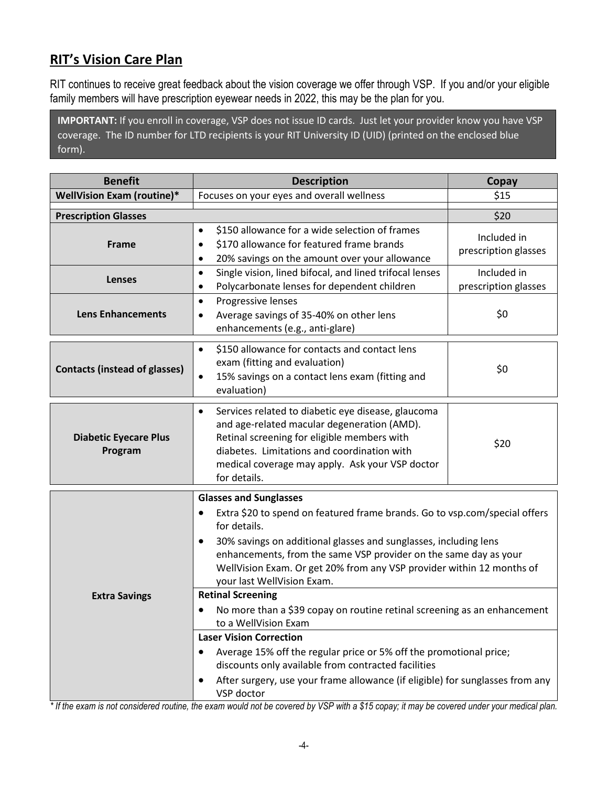# **RIT's Vision Care Plan**

RIT continues to receive great feedback about the vision coverage we offer through VSP. If you and/or your eligible family members will have prescription eyewear needs in 2022, this may be the plan for you.

**IMPORTANT:** If you enroll in coverage, VSP does not issue ID cards. Just let your provider know you have VSP coverage. The ID number for LTD recipients is your RIT University ID (UID) (printed on the enclosed blue form).

| <b>Benefit</b>                          | <b>Description</b>                                                                                                                                                                                                                                                                                                                                                                                                                                                                                                                                                                                                                                                                                                                                                                                        | Copay                               |  |
|-----------------------------------------|-----------------------------------------------------------------------------------------------------------------------------------------------------------------------------------------------------------------------------------------------------------------------------------------------------------------------------------------------------------------------------------------------------------------------------------------------------------------------------------------------------------------------------------------------------------------------------------------------------------------------------------------------------------------------------------------------------------------------------------------------------------------------------------------------------------|-------------------------------------|--|
| WellVision Exam (routine)*              | Focuses on your eyes and overall wellness                                                                                                                                                                                                                                                                                                                                                                                                                                                                                                                                                                                                                                                                                                                                                                 | \$15                                |  |
| <b>Prescription Glasses</b>             |                                                                                                                                                                                                                                                                                                                                                                                                                                                                                                                                                                                                                                                                                                                                                                                                           | \$20                                |  |
| <b>Frame</b>                            | \$150 allowance for a wide selection of frames<br>٠<br>\$170 allowance for featured frame brands<br>$\bullet$<br>20% savings on the amount over your allowance<br>$\bullet$                                                                                                                                                                                                                                                                                                                                                                                                                                                                                                                                                                                                                               | Included in<br>prescription glasses |  |
| Lenses                                  | Single vision, lined bifocal, and lined trifocal lenses<br>$\bullet$<br>Polycarbonate lenses for dependent children<br>$\bullet$                                                                                                                                                                                                                                                                                                                                                                                                                                                                                                                                                                                                                                                                          | Included in<br>prescription glasses |  |
| <b>Lens Enhancements</b>                | Progressive lenses<br>$\bullet$<br>Average savings of 35-40% on other lens<br>٠<br>enhancements (e.g., anti-glare)                                                                                                                                                                                                                                                                                                                                                                                                                                                                                                                                                                                                                                                                                        | \$0                                 |  |
| <b>Contacts (instead of glasses)</b>    | \$150 allowance for contacts and contact lens<br>$\bullet$<br>exam (fitting and evaluation)<br>15% savings on a contact lens exam (fitting and<br>$\bullet$<br>evaluation)                                                                                                                                                                                                                                                                                                                                                                                                                                                                                                                                                                                                                                | \$0                                 |  |
| <b>Diabetic Eyecare Plus</b><br>Program | Services related to diabetic eye disease, glaucoma<br>$\bullet$<br>and age-related macular degeneration (AMD).<br>Retinal screening for eligible members with<br>diabetes. Limitations and coordination with<br>medical coverage may apply. Ask your VSP doctor<br>for details.                                                                                                                                                                                                                                                                                                                                                                                                                                                                                                                           | \$20                                |  |
| <b>Extra Savings</b>                    | <b>Glasses and Sunglasses</b><br>Extra \$20 to spend on featured frame brands. Go to vsp.com/special offers<br>$\bullet$<br>for details.<br>30% savings on additional glasses and sunglasses, including lens<br>٠<br>enhancements, from the same VSP provider on the same day as your<br>WellVision Exam. Or get 20% from any VSP provider within 12 months of<br>your last WellVision Exam.<br><b>Retinal Screening</b><br>No more than a \$39 copay on routine retinal screening as an enhancement<br>٠<br>to a WellVision Exam<br><b>Laser Vision Correction</b><br>Average 15% off the regular price or 5% off the promotional price;<br>٠<br>discounts only available from contracted facilities<br>After surgery, use your frame allowance (if eligible) for sunglasses from any<br>٠<br>VSP doctor |                                     |  |

*\* If the exam is not considered routine, the exam would not be covered by VSP with a \$15 copay; it may be covered under your medical plan.*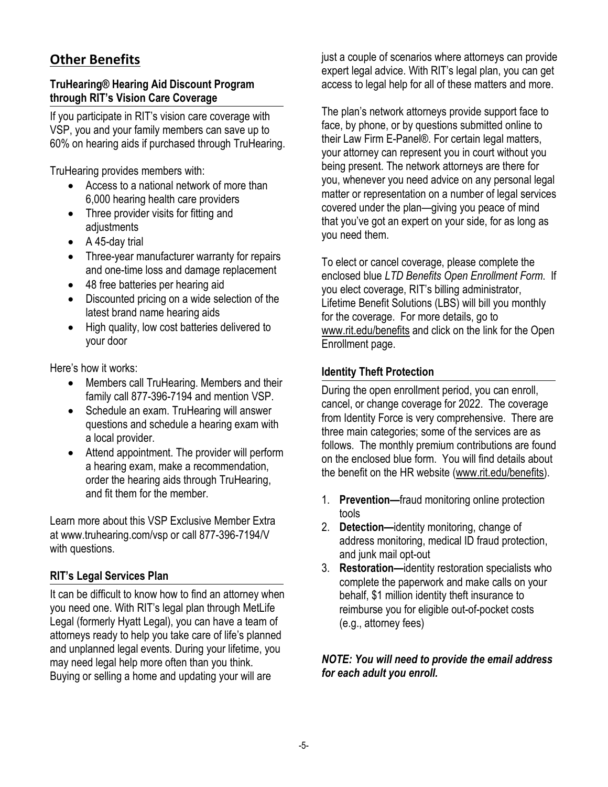# **Other Benefits**

#### **TruHearing® Hearing Aid Discount Program through RIT's Vision Care Coverage**

If you participate in RIT's vision care coverage with VSP, you and your family members can save up to 60% on hearing aids if purchased through TruHearing.

TruHearing provides members with:

- Access to a national network of more than 6,000 hearing health care providers
- Three provider visits for fitting and adjustments
- A 45-day trial
- Three-year manufacturer warranty for repairs and one-time loss and damage replacement
- 48 free batteries per hearing aid
- Discounted pricing on a wide selection of the latest brand name hearing aids
- High quality, low cost batteries delivered to your door

Here's how it works:

- Members call TruHearing. Members and their family call 877-396-7194 and mention VSP.
- Schedule an exam. TruHearing will answer questions and schedule a hearing exam with a local provider.
- Attend appointment. The provider will perform a hearing exam, make a recommendation, order the hearing aids through TruHearing, and fit them for the member.

Learn more about this VSP Exclusive Member Extra at [www.truhearing.com/vsp o](http://www.truhearing.com/vsp)r call 877-396-7194/V with questions.

## **RIT's Legal Services Plan**

It can be difficult to know how to find an attorney when you need one. With RIT's legal plan through MetLife Legal (formerly Hyatt Legal), you can have a team of attorneys ready to help you take care of life's planned and unplanned legal events. During your lifetime, you may need legal help more often than you think. Buying or selling a home and updating your will are

just a couple of scenarios where attorneys can provide expert legal advice. With RIT's legal plan, you can get access to legal help for all of these matters and more.

The plan's network attorneys provide support face to face, by phone, or by questions submitted online to their Law Firm E-Panel®. For certain legal matters, your attorney can represent you in court without you being present. The network attorneys are there for you, whenever you need advice on any personal legal matter or representation on a number of legal services covered under the plan—giving you peace of mind that you've got an expert on your side, for as long as you need them.

To elect or cancel coverage, please complete the enclosed blue *LTD Benefits Open Enrollment Form*. If you elect coverage, RIT's billing administrator, Lifetime Benefit Solutions (LBS) will bill you monthly for the coverage. For more details, go to [www.rit.edu/benefits](http://www.rit.edu/benefits) and click on the link for the Open Enrollment page.

#### **Identity Theft Protection**

During the open enrollment period, you can enroll, cancel, or change coverage for 2022. The coverage from Identity Force is very comprehensive. There are three main categories; some of the services are as follows. The monthly premium contributions are found on the enclosed blue form. You will find details about the benefit on the HR website [\(www.rit.edu/benefits\)](http://www.rit.edu/benefits).

- 1. **Prevention—**fraud monitoring online protection tools
- 2. **Detection—**identity monitoring, change of address monitoring, medical ID fraud protection, and junk mail opt-out
- 3. **Restoration—**identity restoration specialists who complete the paperwork and make calls on your behalf, \$1 million identity theft insurance to reimburse you for eligible out-of-pocket costs (e.g., attorney fees)

#### *NOTE: You will need to provide the email address for each adult you enroll.*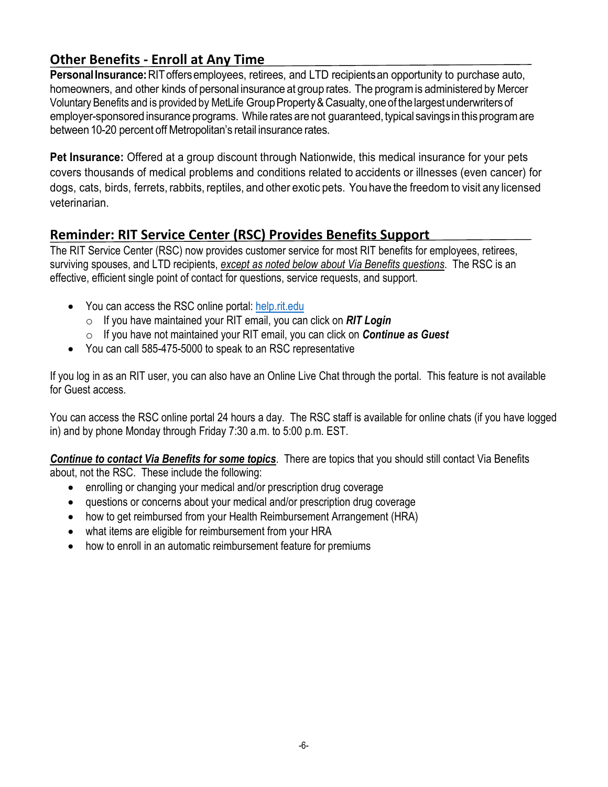# **Other Benefits - Enroll at Any Time**

**PersonalInsurance:**RIToffersemployees, retirees, and LTD recipientsan opportunity to purchase auto, homeowners, and other kinds of personal insurance at group rates. The programis administered by Mercer Voluntary Benefits and is provided by MetLife Group Property & Casualty, one of the largest underwriters of employer-sponsored insurance programs. While rates are not guaranteed, typical savings in this program are between 10-20 percent off Metropolitan's retail insurance rates.

**Pet Insurance:** Offered at a group discount through Nationwide, this medical insurance for your pets covers thousands of medical problems and conditions related to accidents or illnesses (even cancer) for dogs, cats, birds, ferrets, rabbits, reptiles, and other exotic pets. You have the freedomto visit any licensed veterinarian.

# **Reminder: RIT Service Center (RSC) Provides Benefits Support**

The RIT Service Center (RSC) now provides customer service for most RIT benefits for employees, retirees, surviving spouses, and LTD recipients, *except as noted below about Via Benefits questions*. The RSC is an effective, efficient single point of contact for questions, service requests, and support.

- You can access the RSC online portal: [help.rit.edu](https://help.rit.edu/sp)
	- o If you have maintained your RIT email, you can click on *RIT Login*
	- o If you have not maintained your RIT email, you can click on *Continue as Guest*
- You can call 585-475-5000 to speak to an RSC representative

If you log in as an RIT user, you can also have an Online Live Chat through the portal. This feature is not available for Guest access.

You can access the RSC online portal 24 hours a day. The RSC staff is available for online chats (if you have logged in) and by phone Monday through Friday 7:30 a.m. to 5:00 p.m. EST.

*Continue to contact Via Benefits for some topics*. There are topics that you should still contact Via Benefits about, not the RSC. These include the following:

- enrolling or changing your medical and/or prescription drug coverage
- questions or concerns about your medical and/or prescription drug coverage
- how to get reimbursed from your Health Reimbursement Arrangement (HRA)
- what items are eligible for reimbursement from your HRA
- how to enroll in an automatic reimbursement feature for premiums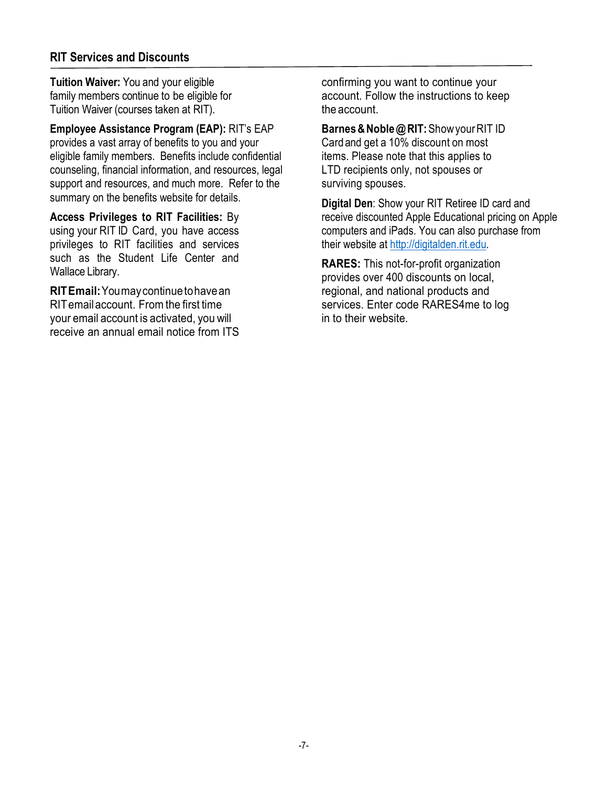#### **RIT Services and Discounts**

**Tuition Waiver:** You and your eligible family members continue to be eligible for Tuition Waiver (courses taken at RIT).

**Employee Assistance Program (EAP):** RIT's EAP provides a vast array of benefits to you and your eligible family members. Benefits include confidential counseling, financial information, and resources, legal support and resources, and much more. Refer to the summary on the benefits website for details.

**Access Privileges to RIT Facilities:** By using your RIT ID Card, you have access privileges to RIT facilities and services such as the Student Life Center and Wallace Library.

**RITEmail:**Youmaycontinuetohavean RITemailaccount. Fromthe first time your email account is activated, you will receive an annual email notice from ITS

confirming you want to continue your account. Follow the instructions to keep the account.

**Barnes&Noble@RIT:**ShowyourRIT ID Cardand get a 10% discount on most items. Please note that this applies to LTD recipients only, not spouses or surviving spouses.

**Digital Den**: Show your RIT Retiree ID card and receive discounted Apple Educational pricing on Apple computers and iPads. You can also purchase from their website at [http://digitalden.rit.edu.](http://digitalden.rit.edu/)

**RARES:** This not-for-profit organization provides over 400 discounts on local, regional, and national products and services. Enter code RARES4me to log in to their website.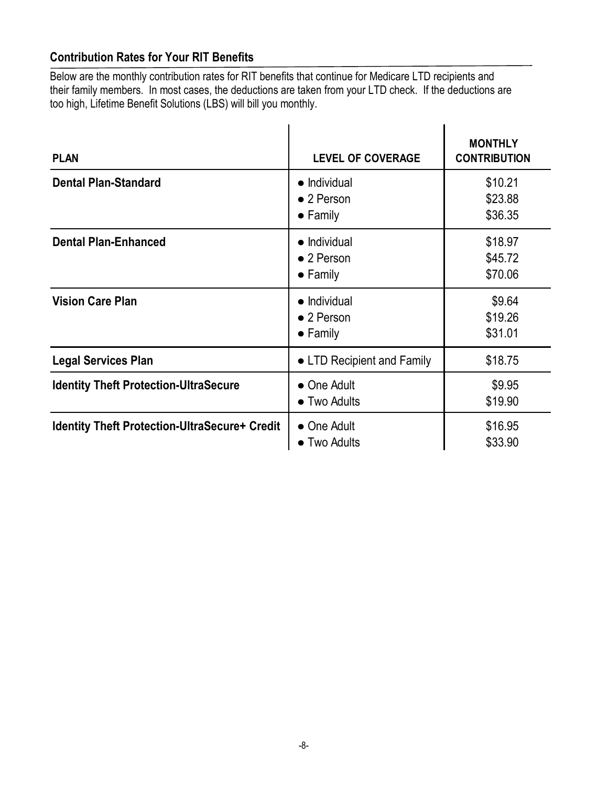# **Contribution Rates for Your RIT Benefits**

Below are the monthly contribution rates for RIT benefits that continue for Medicare LTD recipients and their family members. In most cases, the deductions are taken from your LTD check. If the deductions are too high, Lifetime Benefit Solutions (LBS) will bill you monthly.

| <b>PLAN</b>                                          | <b>LEVEL OF COVERAGE</b>                                       | <b>MONTHLY</b><br><b>CONTRIBUTION</b> |
|------------------------------------------------------|----------------------------------------------------------------|---------------------------------------|
| <b>Dental Plan-Standard</b>                          | $\bullet$ Individual<br>$\bullet$ 2 Person<br>$\bullet$ Family | \$10.21<br>\$23.88<br>\$36.35         |
| <b>Dental Plan-Enhanced</b>                          | $\bullet$ Individual<br>$\bullet$ 2 Person<br>$\bullet$ Family | \$18.97<br>\$45.72<br>\$70.06         |
| <b>Vision Care Plan</b>                              | $\bullet$ Individual<br>$\bullet$ 2 Person<br>$\bullet$ Family | \$9.64<br>\$19.26<br>\$31.01          |
| <b>Legal Services Plan</b>                           | • LTD Recipient and Family                                     | \$18.75                               |
| <b>Identity Theft Protection-UltraSecure</b>         | • One Adult<br>• Two Adults                                    | \$9.95<br>\$19.90                     |
| <b>Identity Theft Protection-UltraSecure+ Credit</b> | • One Adult<br>• Two Adults                                    | \$16.95<br>\$33.90                    |